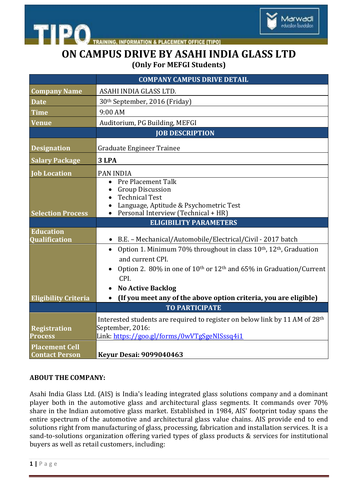

**INFORMATION & PLACEMENT OFFICE [TIPO]** 

## **ON CAMPUS DRIVE BY ASAHI INDIA GLASS LTD (Only For MEFGI Students)**

Marwadi education foundation

|                                                | <b>COMPANY CAMPUS DRIVE DETAIL</b>                                                                                                                                                                                   |
|------------------------------------------------|----------------------------------------------------------------------------------------------------------------------------------------------------------------------------------------------------------------------|
| <b>Company Name</b>                            | ASAHI INDIA GLASS LTD.                                                                                                                                                                                               |
| <b>Date</b>                                    | 30th September, 2016 (Friday)                                                                                                                                                                                        |
| <b>Time</b>                                    | 9:00 AM                                                                                                                                                                                                              |
| <b>Venue</b>                                   | Auditorium, PG Building, MEFGI                                                                                                                                                                                       |
|                                                | <b>JOB DESCRIPTION</b>                                                                                                                                                                                               |
| <b>Designation</b>                             | <b>Graduate Engineer Trainee</b>                                                                                                                                                                                     |
| <b>Salary Package</b>                          | 3 LPA                                                                                                                                                                                                                |
| <b>Job Location</b>                            | <b>PAN INDIA</b>                                                                                                                                                                                                     |
| <b>Selection Process</b>                       | Pre Placement Talk<br>$\bullet$<br><b>Group Discussion</b><br><b>Technical Test</b><br>Language, Aptitude & Psychometric Test<br>Personal Interview (Technical + HR)                                                 |
|                                                | <b>ELIGIBILITY PARAMETERS</b>                                                                                                                                                                                        |
| <b>Education</b><br>Qualification              | B.E. - Mechanical/Automobile/Electrical/Civil - 2017 batch                                                                                                                                                           |
|                                                | Option 1. Minimum 70% throughout in class 10 <sup>th</sup> , 12 <sup>th</sup> , Graduation<br>and current CPI.<br>Option 2. 80% in one of 10 <sup>th</sup> or 12 <sup>th</sup> and 65% in Graduation/Current<br>CPI. |
|                                                | <b>No Active Backlog</b>                                                                                                                                                                                             |
| <b>Eligibility Criteria</b>                    | (If you meet any of the above option criteria, you are eligible)<br>$\bullet$                                                                                                                                        |
|                                                | <b>TO PARTICIPATE</b>                                                                                                                                                                                                |
| <b>Registration</b><br><b>Process</b>          | Interested students are required to register on below link by 11 AM of 28th<br>September, 2016:<br>Link: https://goo.gl/forms/0wVTgSgeNISssq4i1                                                                      |
| <b>Placement Cell</b><br><b>Contact Person</b> | <b>Keyur Desai: 9099040463</b>                                                                                                                                                                                       |

## **ABOUT THE COMPANY:**

Asahi India Glass Ltd. (AIS) is India's leading integrated glass solutions company and a dominant player both in the automotive glass and architectural glass segments. It commands over 70% share in the Indian automotive glass market. Established in 1984, AIS' footprint today spans the entire spectrum of the automotive and architectural glass value chains. AIS provide end to end solutions right from manufacturing of glass, processing, fabrication and installation services. It is a sand-to-solutions organization offering varied types of glass products & services for institutional buyers as well as retail customers, including: